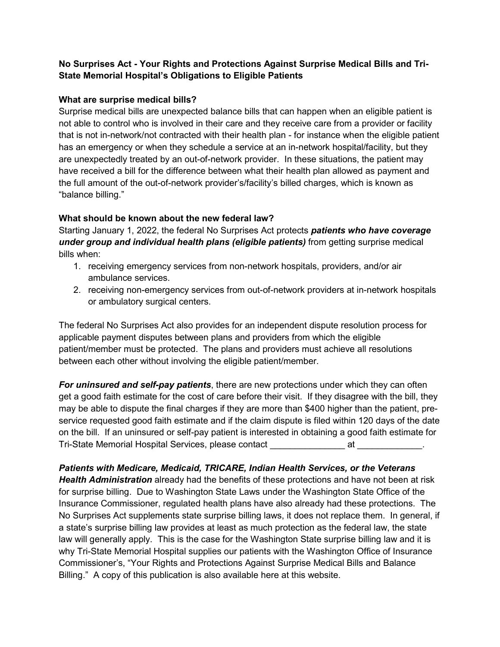# **No Surprises Act - Your Rights and Protections Against Surprise Medical Bills and Tri-State Memorial Hospital's Obligations to Eligible Patients**

## **What are surprise medical bills?**

Surprise medical bills are unexpected balance bills that can happen when an eligible patient is not able to control who is involved in their care and they receive care from a provider or facility that is not in-network/not contracted with their health plan - for instance when the eligible patient has an emergency or when they schedule a service at an in-network hospital/facility, but they are unexpectedly treated by an out-of-network provider. In these situations, the patient may have received a bill for the difference between what their health plan allowed as payment and the full amount of the out-of-network provider's/facility's billed charges, which is known as "balance billing."

### **What should be known about the new federal law?**

Starting January 1, 2022, the federal No Surprises Act protects *patients who have coverage*  **under group and individual health plans (eligible patients)** from getting surprise medical bills when:

- 1. receiving emergency services from non-network hospitals, providers, and/or air ambulance services.
- 2. receiving non-emergency services from out-of-network providers at in-network hospitals or ambulatory surgical centers.

The federal No Surprises Act also provides for an independent dispute resolution process for applicable payment disputes between plans and providers from which the eligible patient/member must be protected. The plans and providers must achieve all resolutions between each other without involving the eligible patient/member.

*For uninsured and self-pay patients*, there are new protections under which they can often get a good faith estimate for the cost of care before their visit. If they disagree with the bill, they may be able to dispute the final charges if they are more than \$400 higher than the patient, preservice requested good faith estimate and if the claim dispute is filed within 120 days of the date on the bill. If an uninsured or self-pay patient is interested in obtaining a good faith estimate for Tri-State Memorial Hospital Services, please contact example at at quality at  $\sim$ 

*Patients with Medicare, Medicaid, TRICARE, Indian Health Services, or the Veterans Health Administration* already had the benefits of these protections and have not been at risk for surprise billing. Due to Washington State Laws under the Washington State Office of the Insurance Commissioner, regulated health plans have also already had these protections. The No Surprises Act supplements state surprise billing laws, it does not replace them. In general, if a state's surprise billing law provides at least as much protection as the federal law, the state law will generally apply. This is the case for the Washington State surprise billing law and it is why Tri-State Memorial Hospital supplies our patients with the Washington Office of Insurance Commissioner's, "Your Rights and Protections Against Surprise Medical Bills and Balance Billing." A copy of this publication is also available here at this website.